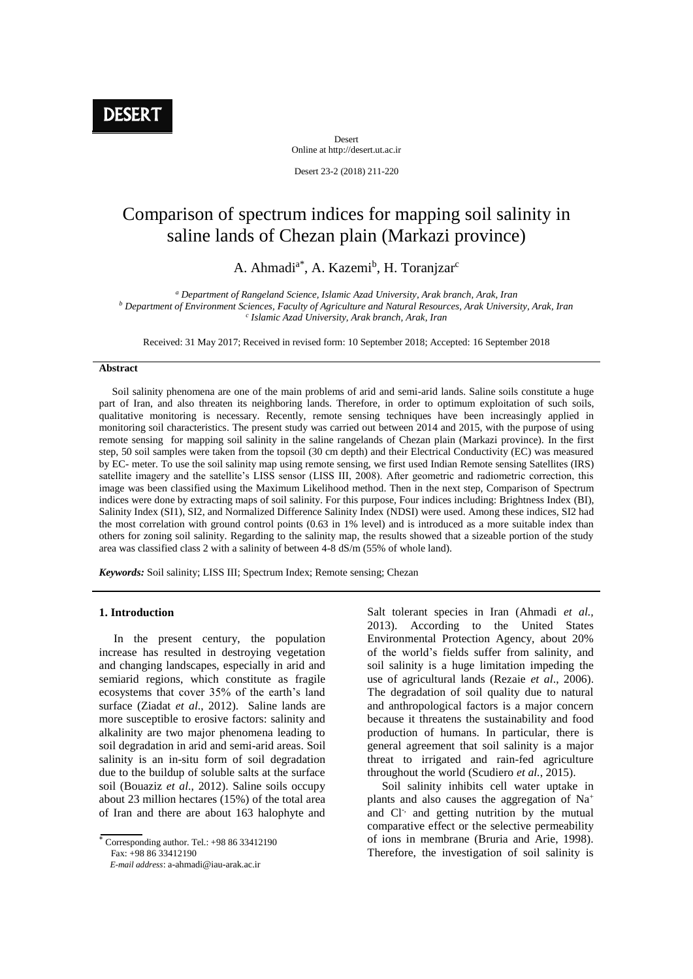Desert Online at http://desert.ut.ac.ir

Desert 23-2 (2018) 211-220

# Comparison of spectrum indices for mapping soil salinity in saline lands of Chezan plain (Markazi province)

# A. Ahmadi<sup>a\*</sup>, A. Kazemi<sup>b</sup>, H. Toranjzar<sup>c</sup>

*<sup>a</sup> Department of Rangeland Science, Islamic Azad University, Arak branch, Arak, Iran <sup>b</sup> Department of Environment Sciences, Faculty of Agriculture and Natural Resources, Arak University, Arak, Iran c Islamic Azad University, Arak branch, Arak, Iran*

Received: 31 May 2017; Received in revised form: 10 September 2018; Accepted: 16 September 2018

#### **Abstract**

 Soil salinity phenomena are one of the main problems of arid and semi-arid lands. Saline soils constitute a huge part of Iran, and also threaten its neighboring lands. Therefore, in order to optimum exploitation of such soils, qualitative monitoring is necessary. Recently, remote sensing techniques have been increasingly applied in monitoring soil characteristics. The present study was carried out between 2014 and 2015, with the purpose of using remote sensing for mapping soil salinity in the saline rangelands of Chezan plain (Markazi province). In the first step, 50 soil samples were taken from the topsoil (30 cm depth) and their Electrical Conductivity (EC) was measured by EC- meter. To use the soil salinity map using remote sensing, we first used Indian Remote sensing Satellites (IRS) satellite imagery and the satellite's LISS sensor (LISS III, 2008). After geometric and radiometric correction, this image was been classified using the Maximum Likelihood method. Then in the next step, Comparison of Spectrum indices were done by extracting maps of soil salinity. For this purpose, Four indices including: Brightness Index (BI), Salinity Index (SI1), SI2, and Normalized Difference Salinity Index (NDSI) were used. Among these indices, SI2 had the most correlation with ground control points (0.63 in 1% level) and is introduced as a more suitable index than others for zoning soil salinity. Regarding to the salinity map, the results showed that a sizeable portion of the study area was classified class 2 with a salinity of between 4-8 dS/m (55% of whole land).

*Keywords:* Soil salinity; LISS III; Spectrum Index; Remote sensing; Chezan

#### **1. Introduction**

 In the present century, the population increase has resulted in destroying vegetation and changing landscapes, especially in arid and semiarid regions, which constitute as fragile ecosystems that cover 35% of the earth's land surface (Ziadat *et al*., 2012). Saline lands are more susceptible to erosive factors: salinity and alkalinity are two major phenomena leading to soil degradation in arid and semi-arid areas. Soil salinity is an in-situ form of soil degradation due to the buildup of soluble salts at the surface soil (Bouaziz *et al*., 2012). Saline soils occupy about 23 million hectares (15%) of the total area of Iran and there are about 163 halophyte and

Corresponding author. Tel.:  $+988633412190$  $Fax: +988633412190$ 

 *E-mail address*: a-ahmadi@iau-arak.ac.ir

Salt tolerant species in Iran (Ahmadi *et al.,* 2013). According to the United States Environmental Protection Agency, about 20% of the world's fields suffer from salinity, and soil salinity is a huge limitation impeding the use of agricultural lands (Rezaie *et al*., 2006). The degradation of soil quality due to natural and anthropological factors is a major concern because it threatens the sustainability and food production of humans. In particular, there is general agreement that soil salinity is a major threat to irrigated and rain-fed agriculture throughout the world (Scudiero *et al.*, 2015).

 Soil salinity inhibits cell water uptake in plants and also causes the aggregation of Na<sup>+</sup> and Cl<sup>-,</sup> and getting nutrition by the mutual comparative effect or the selective permeability of ions in membrane (Bruria and Arie, 1998). Therefore, the investigation of soil salinity is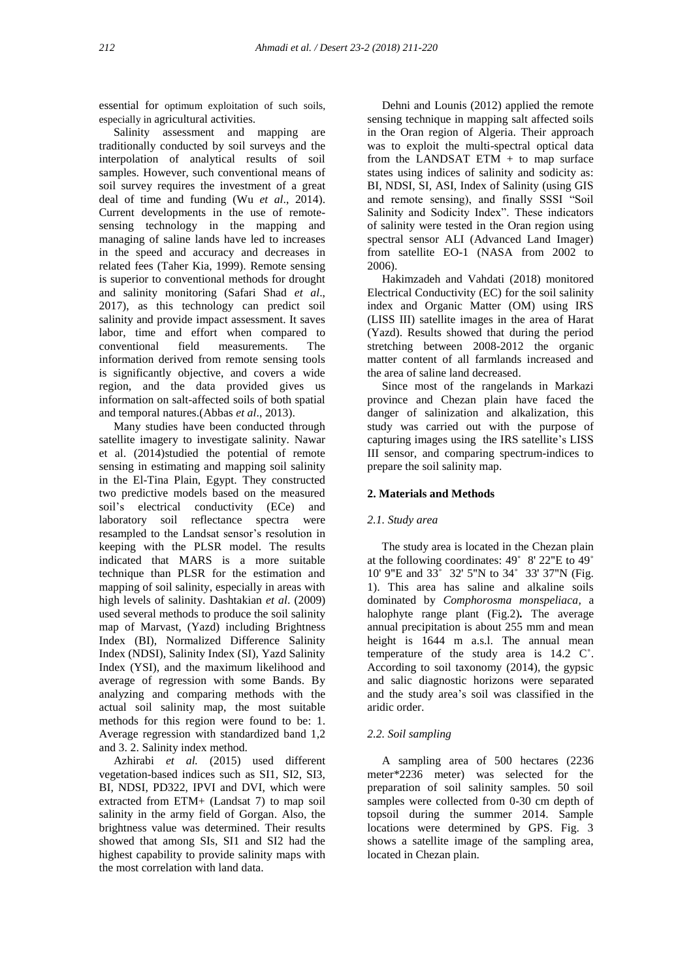essential for optimum exploitation of such soils, especially in agricultural activities.

 Salinity assessment and mapping are traditionally conducted by soil surveys and the interpolation of analytical results of soil samples. However, such conventional means of soil survey requires the investment of a great deal of time and funding (Wu *et al*., 2014). Current developments in the use of remotesensing technology in the mapping and managing of saline lands have led to increases in the speed and accuracy and decreases in related fees (Taher Kia, 1999). Remote sensing is superior to conventional methods for drought and salinity monitoring (Safari Shad *et al*., 2017), as this technology can predict soil salinity and provide impact assessment. It saves labor, time and effort when compared to conventional field measurements. The information derived from remote sensing tools is significantly objective, and covers a wide region, and the data provided gives us information on salt-affected soils of both spatial and temporal natures.(Abbas *et al*., 2013).

 Many studies have been conducted through satellite imagery to investigate salinity. Nawar et al. (2014)studied the potential of remote sensing in estimating and mapping soil salinity in the El-Tina Plain, Egypt. They constructed two predictive models based on the measured soil's electrical conductivity (ECe) and laboratory soil reflectance spectra were resampled to the Landsat sensor's resolution in keeping with the PLSR model. The results indicated that MARS is a more suitable technique than PLSR for the estimation and mapping of soil salinity, especially in areas with high levels of salinity. Dashtakian *et al*. (2009) used several methods to produce the soil salinity map of Marvast, (Yazd) including Brightness Index (BI), Normalized Difference Salinity Index (NDSI), Salinity Index (SI), Yazd Salinity Index (YSI), and the maximum likelihood and average of regression with some Bands. By analyzing and comparing methods with the actual soil salinity map, the most suitable methods for this region were found to be: 1. Average regression with standardized band 1,2 and 3. 2. Salinity index method.

 Azhirabi *et al.* (2015) used different vegetation-based indices such as SI1, SI2, SI3, BI, NDSI, PD322, IPVI and DVI, which were extracted from ETM+ (Landsat 7) to map soil salinity in the army field of Gorgan. Also, the brightness value was determined. Their results showed that among SIs, SI1 and SI2 had the highest capability to provide salinity maps with the most correlation with land data.

 Dehni and Lounis (2012) applied the remote sensing technique in mapping salt affected soils in the Oran region of Algeria. Their approach was to exploit the multi-spectral optical data from the LANDSAT ETM + to map surface states using indices of salinity and sodicity as: BI, NDSI, SI, ASI, Index of Salinity (using GIS and remote sensing), and finally SSSI "Soil Salinity and Sodicity Index". These indicators of salinity were tested in the Oran region using spectral sensor ALI (Advanced Land Imager) from satellite EO-1 (NASA from 2002 to 2006).

 Hakimzadeh and Vahdati (2018) monitored Electrical Conductivity (EC) for the soil salinity index and Organic Matter (OM) using IRS (LISS III) satellite images in the area of Harat (Yazd). Results showed that during the period stretching between 2008-2012 the organic matter content of all farmlands increased and the area of saline land decreased.

 Since most of the rangelands in Markazi province and Chezan plain have faced the danger of salinization and alkalization, this study was carried out with the purpose of capturing images using the IRS satellite's LISS III sensor, and comparing spectrum-indices to prepare the soil salinity map.

# **2. Materials and Methods**

### *2.1. Study area*

 The study area is located in the Chezan plain at the following coordinates: 49˚ 8' 22"E to 49˚ 10' 9"E and 33˚ 32' 5"N to 34˚ 33' 37"N (Fig. 1). This area has saline and alkaline soils dominated by *Comphorosma monspeliaca,* a halophyte range plant (Fig.2)*.* The average annual precipitation is about 255 mm and mean height is 1644 m a.s.l. The annual mean temperature of the study area is 14.2 C˚. According to soil taxonomy (2014), the gypsic and salic diagnostic horizons were separated and the study area's soil was classified in the aridic order.

# *2.2. Soil sampling*

 A sampling area of 500 hectares (2236 meter\*2236 meter) was selected for the preparation of soil salinity samples. 50 soil samples were collected from 0-30 cm depth of topsoil during the summer 2014. Sample locations were determined by GPS. Fig. 3 shows a satellite image of the sampling area, located in Chezan plain.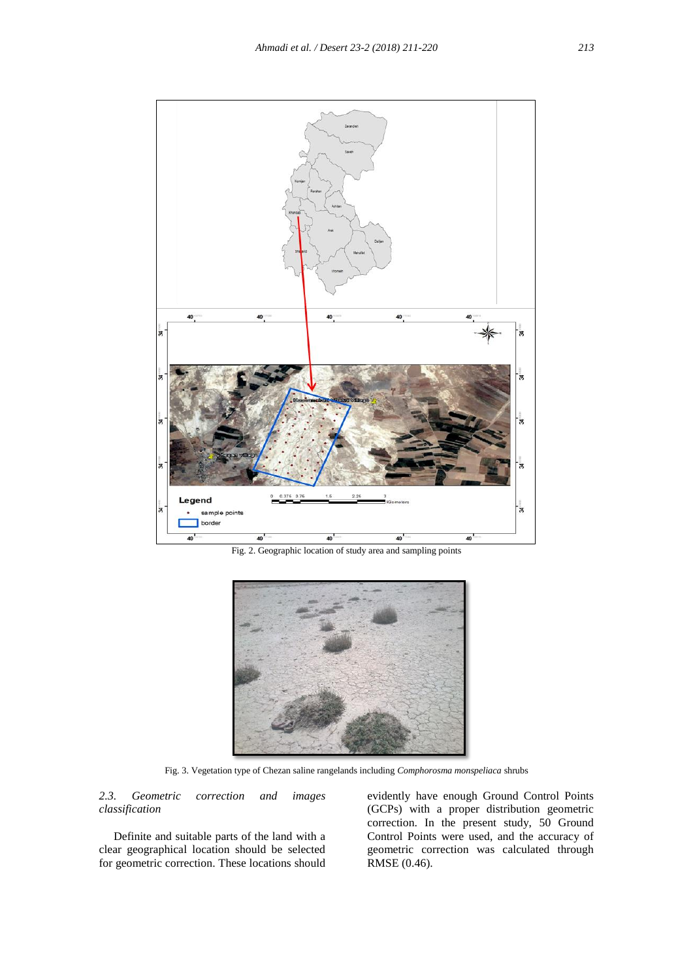

Fig. 2. Geographic location of study area and sampling points



Fig. 3. Vegetation type of Chezan saline rangelands including *Comphorosma monspeliaca* shrubs

# *2.3. Geometric correction and images classification*

 Definite and suitable parts of the land with a clear geographical location should be selected for geometric correction. These locations should

evidently have enough Ground Control Points (GCPs) with a proper distribution geometric correction. In the present study, 50 Ground Control Points were used, and the accuracy of geometric correction was calculated through RMSE (0.46).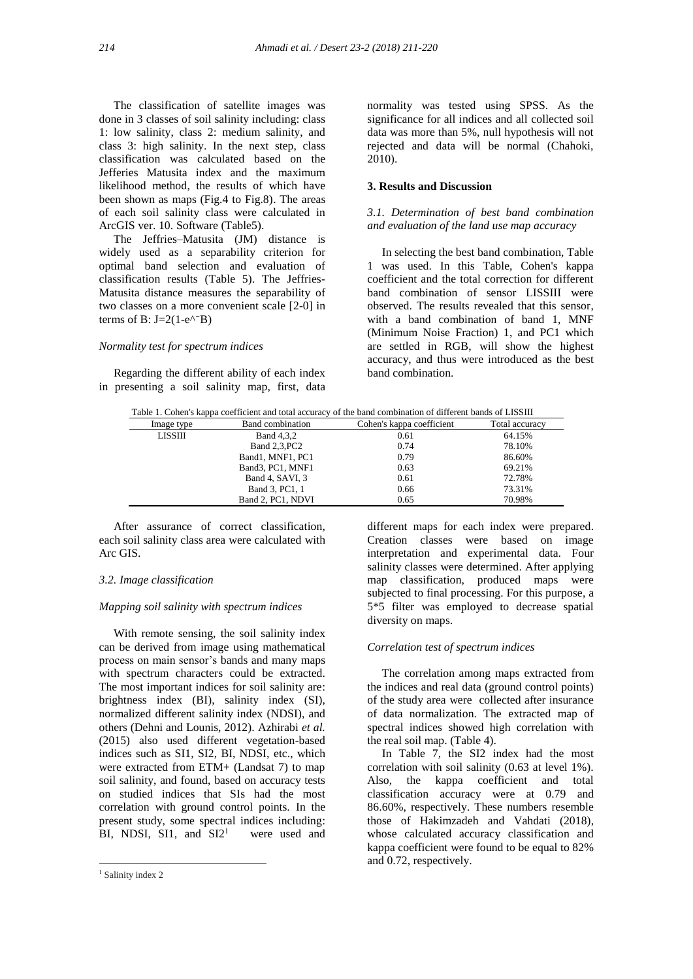The classification of satellite images was done in 3 classes of soil salinity including: class 1: low salinity, class 2: medium salinity, and class 3: high salinity. In the next step, class classification was calculated based on the Jefferies Matusita index and the maximum likelihood method, the results of which have been shown as maps (Fig.4 to Fig.8). The areas of each soil salinity class were calculated in ArcGIS ver. 10. Software (Table5).

 The Jeffries–Matusita (JM) distance is widely used as a separability criterion for optimal band selection and evaluation of classification results (Table 5). The Jeffries-Matusita distance measures the separability of two classes on a more convenient scale [2-0] in terms of B:  $J=2(1-e^{\Lambda T}B)$ 

#### *Normality test for spectrum indices*

 Regarding the different ability of each index in presenting a soil salinity map, first, data normality was tested using SPSS. As the significance for all indices and all collected soil data was more than 5%, null hypothesis will not rejected and data will be normal (Chahoki, 2010).

# **3. Results and Discussion**

# *3.1. Determination of best band combination and evaluation of the land use map accuracy*

 In selecting the best band combination, Table 1 was used. In this Table, Cohen's kappa coefficient and the total correction for different band combination of sensor LISSIII were observed. The results revealed that this sensor, with a band combination of band 1, MNF (Minimum Noise Fraction) 1, and PC1 which are settled in RGB, will show the highest accuracy, and thus were introduced as the best band combination.

| Table 1. Cohen's kappa coefficient and total accuracy of the band combination of different bands of LISSIII |  |  |  |  |
|-------------------------------------------------------------------------------------------------------------|--|--|--|--|
|                                                                                                             |  |  |  |  |

| Image type     | Band combination  | Cohen's kappa coefficient | Total accuracy |
|----------------|-------------------|---------------------------|----------------|
| <b>LISSIII</b> | Band 4,3,2        | 0.61                      | 64.15%         |
|                | Band 2,3, PC2     | 0.74                      | 78.10%         |
|                | Band1, MNF1, PC1  | 0.79                      | 86.60%         |
|                | Band3, PC1, MNF1  | 0.63                      | 69.21%         |
|                | Band 4, SAVI, 3   | 0.61                      | 72.78%         |
|                | Band 3, PC1, 1    | 0.66                      | 73.31%         |
|                | Band 2, PC1, NDVI | 0.65                      | 70.98%         |

 After assurance of correct classification, each soil salinity class area were calculated with Arc GIS.

#### *3.2. Image classification*

#### *Mapping soil salinity with spectrum indices*

 With remote sensing, the soil salinity index can be derived from image using mathematical process on main sensor's bands and many maps with spectrum characters could be extracted. The most important indices for soil salinity are: brightness index (BI), salinity index (SI), normalized different salinity index (NDSI), and others (Dehni and Lounis, 2012). Azhirabi *et al.* (2015) also used different vegetation-based indices such as SI1, SI2, BI, NDSI, etc., which were extracted from ETM+ (Landsat 7) to map soil salinity, and found, based on accuracy tests on studied indices that SIs had the most correlation with ground control points. In the present study, some spectral indices including: BI, NDSI, SI1, and  $SI2<sup>1</sup>$  were used and

1

different maps for each index were prepared. Creation classes were based on image interpretation and experimental data. Four salinity classes were determined. After applying map classification, produced maps were subjected to final processing. For this purpose, a 5\*5 filter was employed to decrease spatial diversity on maps.

#### *Correlation test of spectrum indices*

 The correlation among maps extracted from the indices and real data (ground control points) of the study area were collected after insurance of data normalization. The extracted map of spectral indices showed high correlation with the real soil map. (Table 4).

 In Table 7, the SI2 index had the most correlation with soil salinity (0.63 at level 1%). Also, the kappa coefficient and total classification accuracy were at 0.79 and 86.60%, respectively. These numbers resemble those of Hakimzadeh and Vahdati (2018), whose calculated accuracy classification and kappa coefficient were found to be equal to 82% and 0.72, respectively.

<sup>&</sup>lt;sup>1</sup> Salinity index 2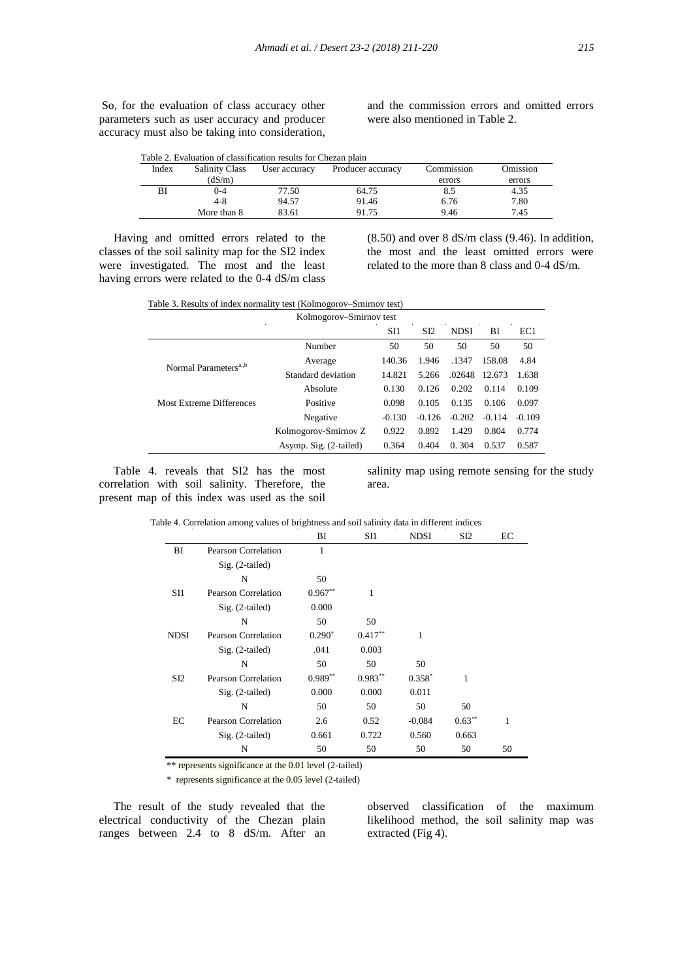So, for the evaluation of class accuracy other parameters such as user accuracy and producer accuracy must also be taking into consideration,

and the commission errors and omitted errors were also mentioned in Table 2.

| Index | <b>Salinity Class</b> | User accuracy | Producer accuracy | Commission | Omission |
|-------|-----------------------|---------------|-------------------|------------|----------|
|       | (dS/m)                |               |                   | errors     | errors   |
| ΒI    | 0-4                   | 77.50         | 64.75             | 8.5        | 4.35     |
|       | $4-8$                 | 94.57         | 91.46             | 6.76       | 7.80     |
|       | More than 8           | 83.61         | 91.75             | 9.46       | 7.45     |

 Having and omitted errors related to the classes of the soil salinity map for the SI2 index were investigated. The most and the least having errors were related to the 0-4 dS/m class (8.50) and over 8 dS/m class (9.46). In addition, the most and the least omitted errors were related to the more than 8 class and 0-4 dS/m.

| Table 3. Results of index normality test (Kolmogorov–Smirnov test) |                         |
|--------------------------------------------------------------------|-------------------------|
|                                                                    | Kolmogorov–Smirnov test |

|                        | SI1      | S <sub>I2</sub> | <b>NDSI</b> | BI       | EC1      |
|------------------------|----------|-----------------|-------------|----------|----------|
| Number                 | 50       | 50              | 50          | 50       | 50       |
| Average                | 140.36   | 1.946           | .1347       | 158.08   | 4.84     |
| Standard deviation     | 14.821   | 5.266           | .02648      | 12.673   | 1.638    |
| Absolute               | 0.130    | 0.126           | 0.202       | 0.114    | 0.109    |
| Positive               | 0.098    | 0.105           | 0.135       | 0.106    | 0.097    |
| Negative               | $-0.130$ | $-0.126$        | $-0.202$    | $-0.114$ | $-0.109$ |
| Kolmogorov-Smirnov Z   | 0.922    | 0.892           | 1.429       | 0.804    | 0.774    |
| Asymp. Sig. (2-tailed) | 0.364    | 0.404           | 0.304       | 0.537    | 0.587    |
|                        |          |                 |             |          |          |

 Table 4. reveals that SI2 has the most correlation with soil salinity. Therefore, the present map of this index was used as the soil

salinity map using remote sensing for the study area.

|                 |                            | BI        | SI1        | <b>NDSI</b> | SI <sub>2</sub> | EС |
|-----------------|----------------------------|-----------|------------|-------------|-----------------|----|
| BI              | Pearson Correlation        | 1         |            |             |                 |    |
|                 | $Sig. (2-tailed)$          |           |            |             |                 |    |
|                 | N                          | 50        |            |             |                 |    |
| SI1             | <b>Pearson Correlation</b> | $0.967**$ |            |             |                 |    |
|                 | $Sig. (2-tailed)$          | 0.000     |            |             |                 |    |
|                 | N                          | 50        | 50         |             |                 |    |
| <b>NDSI</b>     | <b>Pearson Correlation</b> | $0.290*$  | $0.417***$ | 1           |                 |    |
|                 | $Sig. (2-tailed)$          | .041      | 0.003      |             |                 |    |
|                 | N                          | 50        | 50         | 50          |                 |    |
| SI <sub>2</sub> | Pearson Correlation        | $0.989**$ | $0.983**$  | $0.358*$    | 1               |    |
|                 | $Sig. (2-tailed)$          | 0.000     | 0.000      | 0.011       |                 |    |
|                 |                            |           |            |             |                 |    |

N 50 50 50 50 EC Pearson Correlation 2.6 0.52 -0.084 0.63<sup>\*\*</sup> 1 Sig. (2-tailed) 0.661 0.722 0.560 0.663

N 50 50 50 50 50 \*\* represents significance at the 0.01 level (2-tailed)

\* represents significance at the 0.05 level (2-tailed)

 The result of the study revealed that the electrical conductivity of the Chezan plain ranges between 2.4 to 8 dS/m. After an

observed classification of the maximum likelihood method, the soil salinity map was extracted (Fig 4).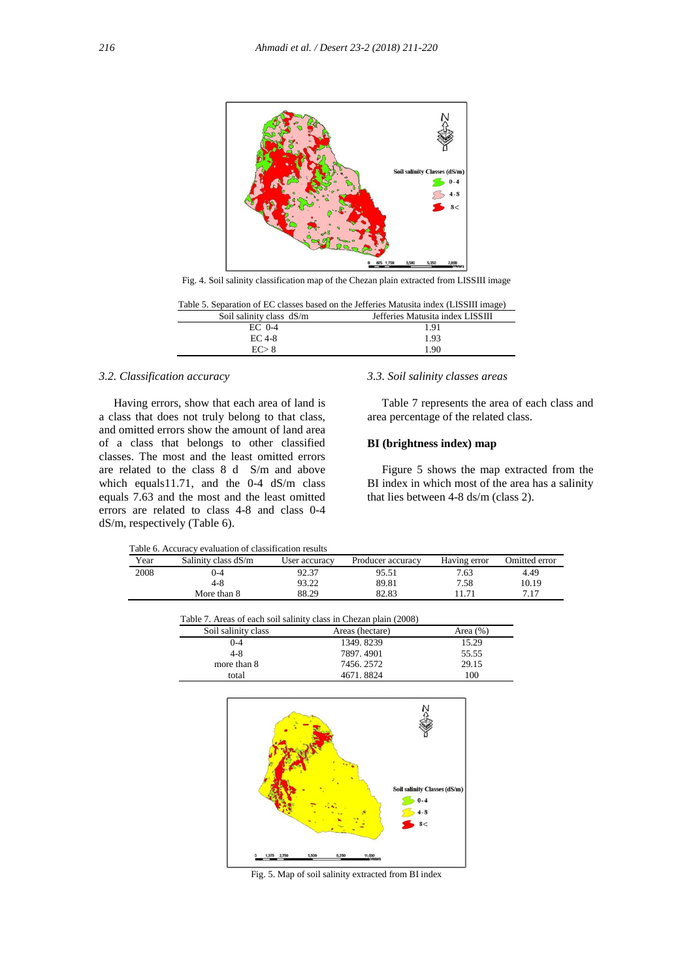

Fig. 4. Soil salinity classification map of the Chezan plain extracted from LISSIII image

|                          | Table 5. Separation of EC classes based on the Jefferies Matusita index (LISSIII image) |  |  |  |  |  |
|--------------------------|-----------------------------------------------------------------------------------------|--|--|--|--|--|
| Soil salinity class dS/m | Jefferies Matusita index LISSIII                                                        |  |  |  |  |  |
| $EC$ 0-4                 | 1.91                                                                                    |  |  |  |  |  |
| EC 4-8                   | 1.93                                                                                    |  |  |  |  |  |
| FC > 8                   | 1.90                                                                                    |  |  |  |  |  |

## *3.2. Classification accuracy*

 Having errors, show that each area of land is a class that does not truly belong to that class, and omitted errors show the amount of land area of a class that belongs to other classified classes. The most and the least omitted errors are related to the class 8 d S/m and above which equals11.71, and the 0-4 dS/m class equals 7.63 and the most and the least omitted errors are related to class 4-8 and class 0-4 dS/m, respectively (Table 6).

# *3.3. Soil salinity classes areas*

 Table 7 represents the area of each class and area percentage of the related class.

# **BI (brightness index) map**

 Figure 5 shows the map extracted from the BI index in which most of the area has a salinity that lies between 4-8 ds/m (class 2).

Table 6. Accuracy evaluation of classification results

| Year | Salinity class dS/m | User accuracv | Producer accuracy | Having error | Omitted error |
|------|---------------------|---------------|-------------------|--------------|---------------|
| 2008 | 0-4                 | 92.37         | 95.51             | 7.63         | 4.49          |
|      | $4-8$               | 93.22         | 89.81             | 7.58         | 10.19         |
|      | More than 8         | 88.29         | 82.83             |              | 7.17          |
|      |                     |               |                   |              |               |

|                     | Table 7. Areas of each soil salinity class in Chezan plain (2008) |             |
|---------------------|-------------------------------------------------------------------|-------------|
| Soil salinity class | Areas (hectare)                                                   | Area $(\%)$ |
| 0-4                 | 1349.8239                                                         | 15.29       |
| $4 - 8$             | 7897.4901                                                         | 55.55       |
| more than 8         | 7456, 2572                                                        | 29.15       |
| total               | 4671.8824                                                         | 100         |



Fig. 5. Map of soil salinity extracted from BI index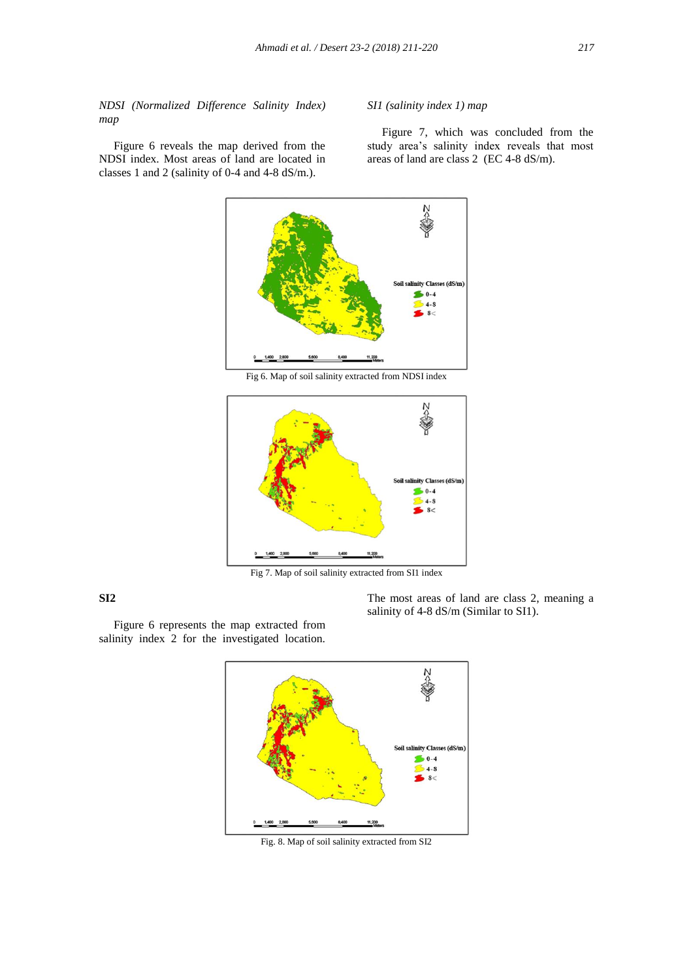*NDSI (Normalized Difference Salinity Index) map*

 Figure 6 reveals the map derived from the NDSI index. Most areas of land are located in classes 1 and 2 (salinity of 0-4 and 4-8 dS/m.).

#### *SI1 (salinity index 1) map*

 Figure 7, which was concluded from the study area's salinity index reveals that most areas of land are class 2 (EC 4-8 dS/m).



Fig 6. Map of soil salinity extracted from NDSI index



Fig 7. Map of soil salinity extracted from SI1 index

# **SI2**

The most areas of land are class 2, meaning a salinity of 4-8 dS/m (Similar to SI1).

 Figure 6 represents the map extracted from salinity index 2 for the investigated location.



Fig. 8. Map of soil salinity extracted from SI2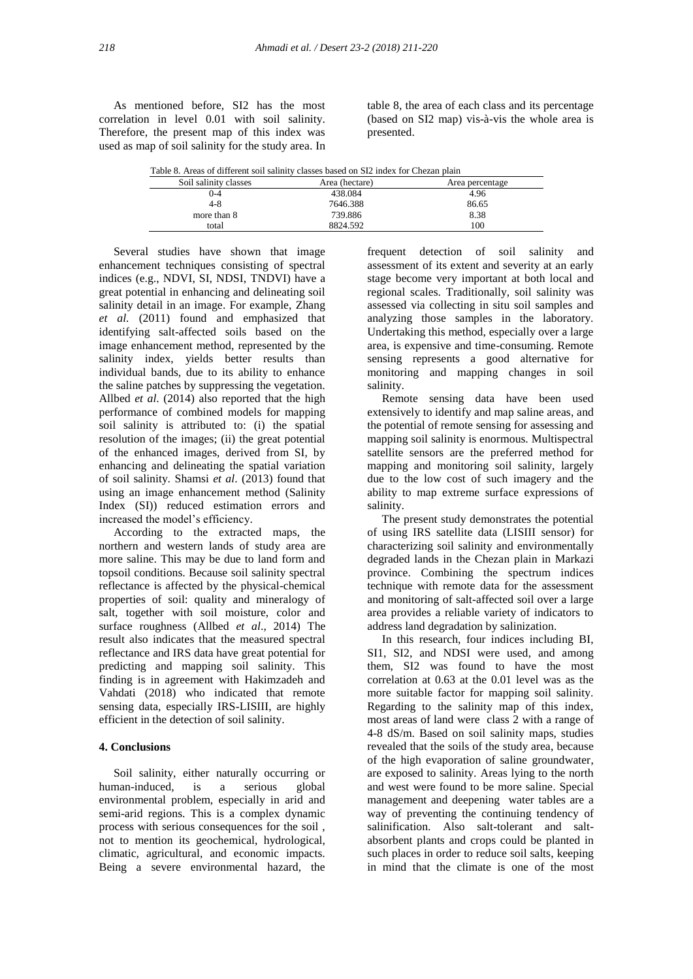As mentioned before, SI2 has the most correlation in level 0.01 with soil salinity. Therefore, the present map of this index was used as map of soil salinity for the study area. In table 8, the area of each class and its percentage (based on SI2 map) vis-à-vis the whole area is presented.

|  | Table 8. Areas of different soil salinity classes based on SI2 index for Chezan plain<br>Soil salinity classes<br>Area (hectare)<br>Area percentage |          |       |  |  |  |
|--|-----------------------------------------------------------------------------------------------------------------------------------------------------|----------|-------|--|--|--|
|  |                                                                                                                                                     |          |       |  |  |  |
|  | $_{0-4}$                                                                                                                                            | 438.084  | 4.96  |  |  |  |
|  | 4-8                                                                                                                                                 | 7646.388 | 86.65 |  |  |  |
|  | more than 8                                                                                                                                         | 739.886  | 8.38  |  |  |  |
|  | total                                                                                                                                               | 8824.592 | 100   |  |  |  |

 Several studies have shown that image enhancement techniques consisting of spectral indices (e.g., NDVI, SI, NDSI, TNDVI) have a great potential in enhancing and delineating soil salinity detail in an image. For example, Zhang *et al.* (2011) found and emphasized that identifying salt-affected soils based on the image enhancement method, represented by the salinity index, yields better results than individual bands, due to its ability to enhance the saline patches by suppressing the vegetation. Allbed *et al*. (2014) also reported that the high performance of combined models for mapping soil salinity is attributed to: (i) the spatial resolution of the images; (ii) the great potential of the enhanced images, derived from SI, by enhancing and delineating the spatial variation of soil salinity. Shamsi *et al*. (2013) found that using an image enhancement method (Salinity Index (SI)) reduced estimation errors and increased the model's efficiency.

 According to the extracted maps, the northern and western lands of study area are more saline. This may be due to land form and topsoil conditions. Because soil salinity spectral reflectance is affected by the physical-chemical properties of soil: quality and mineralogy of salt, together with soil moisture, color and surface roughness (Allbed *et al*., 2014) The result also indicates that the measured spectral reflectance and IRS data have great potential for predicting and mapping soil salinity. This finding is in agreement with Hakimzadeh and Vahdati (2018) who indicated that remote sensing data, especially IRS-LISIII, are highly efficient in the detection of soil salinity.

#### **4. Conclusions**

 Soil salinity, either naturally occurring or human-induced, is a serious global environmental problem, especially in arid and semi-arid regions. This is a complex dynamic process with serious consequences for the soil , not to mention its geochemical, hydrological, climatic, agricultural, and economic impacts. Being a severe environmental hazard, the frequent detection of soil salinity and assessment of its extent and severity at an early stage become very important at both local and regional scales. Traditionally, soil salinity was assessed via collecting in situ soil samples and analyzing those samples in the laboratory. Undertaking this method, especially over a large area, is expensive and time-consuming. Remote sensing represents a good alternative for monitoring and mapping changes in soil salinity.

 Remote sensing data have been used extensively to identify and map saline areas, and the potential of remote sensing for assessing and mapping soil salinity is enormous. Multispectral satellite sensors are the preferred method for mapping and monitoring soil salinity, largely due to the low cost of such imagery and the ability to map extreme surface expressions of salinity.

 The present study demonstrates the potential of using IRS satellite data (LISIII sensor) for characterizing soil salinity and environmentally degraded lands in the Chezan plain in Markazi province. Combining the spectrum indices technique with remote data for the assessment and monitoring of salt-affected soil over a large area provides a reliable variety of indicators to address land degradation by salinization.

 In this research, four indices including BI, SI1, SI2, and NDSI were used, and among them, SI2 was found to have the most correlation at 0.63 at the 0.01 level was as the more suitable factor for mapping soil salinity. Regarding to the salinity map of this index, most areas of land were class 2 with a range of 4-8 dS/m. Based on soil salinity maps, studies revealed that the soils of the study area, because of the high evaporation of saline groundwater, are exposed to salinity. Areas lying to the north and west were found to be more saline. Special management and deepening water tables are a way of preventing the continuing tendency of salinification. Also salt-tolerant and saltabsorbent plants and crops could be planted in such places in order to reduce soil salts, keeping in mind that the climate is one of the most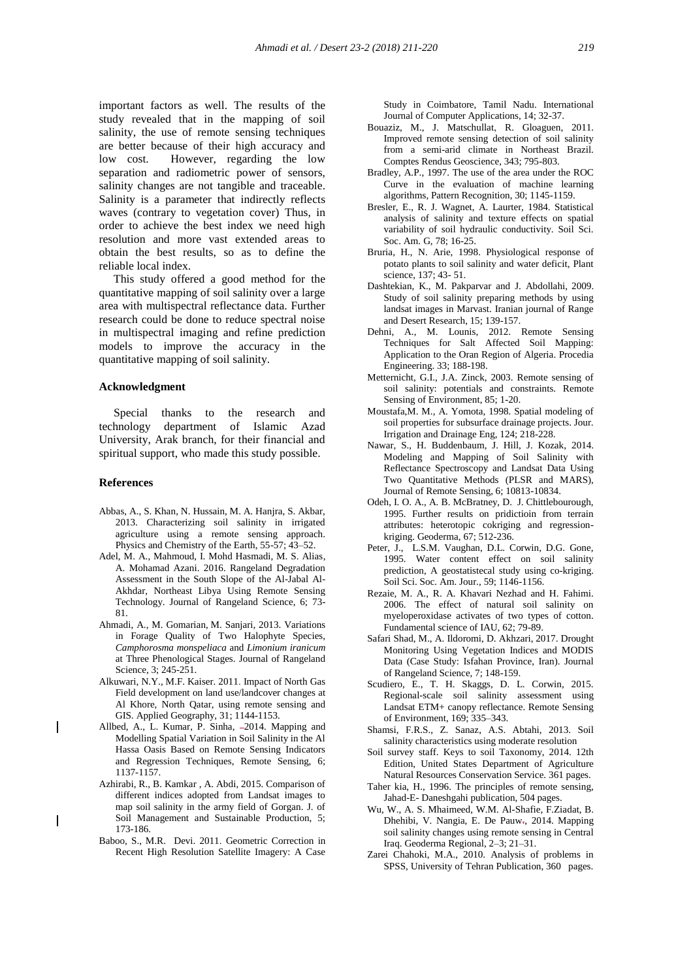important factors as well. The results of the study revealed that in the mapping of soil salinity, the use of remote sensing techniques are better because of their high accuracy and low cost. However, regarding the low separation and radiometric power of sensors, salinity changes are not tangible and traceable. Salinity is a parameter that indirectly reflects waves (contrary to vegetation cover) Thus, in order to achieve the best index we need high resolution and more vast extended areas to obtain the best results, so as to define the reliable local index.

 This study offered a good method for the quantitative mapping of soil salinity over a large area with multispectral reflectance data. Further research could be done to reduce spectral noise in multispectral imaging and refine prediction models to improve the accuracy in the quantitative mapping of soil salinity.

#### **Acknowledgment**

 Special thanks to the research and technology department of Islamic Azad University, Arak branch, for their financial and spiritual support, who made this study possible.

#### **References**

- Abbas, A., S. Khan, N. Hussain, M. A. Hanjra, S. Akbar, 2013. Characterizing soil salinity in irrigated agriculture using a remote sensing approach. Physics and Chemistry of the Earth, 55-57; 43–52.
- Adel, M. A., Mahmoud, I. Mohd Hasmadi, M. S. Alias, A. Mohamad Azani. 2016. Rangeland Degradation Assessment in the South Slope of the Al-Jabal Al-Akhdar, Northeast Libya Using Remote Sensing Technology. Journal of Rangeland Science, 6; 73- 81.
- Ahmadi, A., M. Gomarian, M. Sanjari, 2013. Variations in Forage Quality of Two Halophyte Species, *Camphorosma monspeliaca* and *Limonium iranicum* at Three Phenological Stages. Journal of Rangeland Science, 3; 245-251.
- Alkuwari, N.Y., M.F. Kaiser. 2011. Impact of North Gas Field development on land use/landcover changes at Al Khore, North Qatar, using remote sensing and GIS. Applied Geography, 31; 1144-1153.
- Allbed, A., L. Kumar, P. Sinha, -2014. Mapping and Modelling Spatial Variation in Soil Salinity in the Al Hassa Oasis Based on Remote Sensing Indicators and Regression Techniques, Remote Sensing, 6; 1137-1157.
- Azhirabi, R., B. Kamkar , A. Abdi, 2015. Comparison of different indices adopted from Landsat images to map soil salinity in the army field of Gorgan. J. of Soil Management and Sustainable Production, 5; 173-186.
- Baboo, S., M.R. Devi. 2011. Geometric Correction in Recent High Resolution Satellite Imagery: A Case

Study in Coimbatore, Tamil Nadu. International Journal of Computer Applications, 14; 32-37.

- Bouaziz, M., J. Matschullat, R. Gloaguen, 2011. Improved remote sensing detection of soil salinity from a semi-arid climate in Northeast Brazil. Comptes Rendus Geoscience, 343; 795-803.
- Bradley, A.P., 1997. The use of the area under the ROC Curve in the evaluation of machine learning algorithms, Pattern Recognition, 30; 1145-1159.
- Bresler, E., R. J. Wagnet, A. Laurter, 1984. Statistical analysis of salinity and texture effects on spatial variability of soil hydraulic conductivity. Soil Sci. Soc. Am. G, 78; 16-25.
- Bruria, H., N. Arie, 1998. Physiological response of potato plants to soil salinity and water deficit, Plant science, 137; 43- 51.
- Dashtekian, K., M. Pakparvar and J. Abdollahi, 2009. Study of soil salinity preparing methods by using landsat images in Marvast. Iranian journal of Range and Desert Research, 15; 139-157.
- Dehni, A., M. Lounis, 2012. Remote Sensing Techniques for Salt Affected Soil Mapping: Application to the Oran Region of Algeria. Procedia Engineering. 33; 188-198.
- Metternicht, G.I., J.A. Zinck, 2003. Remote sensing of soil salinity: potentials and constraints. Remote Sensing of Environment, 85; 1-20.
- Moustafa,M. M., A. Yomota, 1998. Spatial modeling of soil properties for subsurface drainage projects. Jour. Irrigation and Drainage Eng, 124; 218-228.
- Nawar, S., H. Buddenbaum, J. Hill, J. Kozak, 2014. Modeling and Mapping of Soil Salinity with Reflectance Spectroscopy and Landsat Data Using Two Quantitative Methods (PLSR and MARS), Journal of Remote Sensing, 6; 10813-10834.
- Odeh, I. O. A., A. B. McBratney, D. J. Chittlebourough, 1995. Further results on pridictioin from terrain attributes: heterotopic cokriging and regressionkriging. Geoderma, 67; 512-236.
- Peter, J., L.S.M. Vaughan, D.L. Corwin, D.G. Gone, 1995. Water content effect on soil salinity prediction, A geostatistecal study using co-kriging. Soil Sci. Soc. Am. Jour., 59; 1146-1156.
- Rezaie, M. A., R. A. Khavari Nezhad and H. Fahimi. 2006. The effect of natural soil salinity on myeloperoxidase activates of two types of cotton. Fundamental science of IAU, 62; 79-89.
- Safari Shad, M., A. Ildoromi, D. Akhzari, 2017. Drought Monitoring Using Vegetation Indices and MODIS Data (Case Study: Isfahan Province, Iran). Journal of Rangeland Science, 7; 148-159.
- Scudiero, E., T. H. Skaggs, D. L. Corwin, 2015. Regional-scale soil salinity assessment using Landsat ETM+ canopy reflectance. Remote Sensing of Environment, 169; 335–343.
- Shamsi, F.R.S., Z. Sanaz, A.S. Abtahi, 2013. Soil salinity characteristics using moderate resolution
- Soil survey staff. Keys to soil Taxonomy, 2014. 12th Edition, United States Department of Agriculture Natural Resources Conservation Service. 361 pages.
- Taher kia, H., 1996. The principles of remote sensing, Jahad-E- Daneshgahi publication, 504 pages.
- Wu, W., A. S. Mhaimeed, W.M. Al-Shafie, F.Ziadat, B. Dhehibi, V. Nangia, E. De Pauw-, 2014. Mapping soil salinity changes using remote sensing in Central Iraq. Geoderma Regional, 2–3; 21–31.
- Zarei Chahoki, M.A., 2010. Analysis of problems in SPSS, University of Tehran Publication, 360 pages.